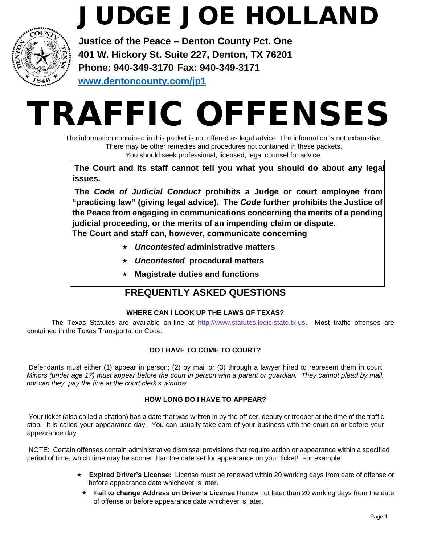## JUDGE JOE HOLLAND



**Justice of the Peace – Denton County Pct. One 401 W. Hickory St. Suite 227, Denton, TX 76201 Phone: 940-349-3170 Fax: 940-349-3171 [www.dentoncounty.com/jp1](http://www.dentoncounty.com/jp1)**

# TRAFFIC OFFENSES

The information contained in this packet is not offered as legal advice. The information is not exhaustive. There may be other remedies and procedures not contained in these packets. You should seek professional, licensed, legal counsel for advice.

**The Court and its staff cannot tell you what you should do about any legal issues.** 

**The** *Code of Judicial Conduct* **prohibits a Judge or court employee from "practicing law" (giving legal advice). The** *Code* **further prohibits the Justice of the Peace from engaging in communications concerning the merits of a pending judicial proceeding, or the merits of an impending claim or dispute. The Court and staff can, however, communicate concerning** 

- *Uncontested* **administrative matters**
- *Uncontested* **procedural matters**
- **Magistrate duties and functions**

### **FREQUENTLY ASKED QUESTIONS**

#### **WHERE CAN I LOOK UP THE LAWS OF TEXAS?**

The Texas Statutes are available on-line at http://www.statutes.legis.state.tx.us. Most traffic offenses are contained in the Texas Transportation Code.

#### **DO I HAVE TO COME TO COURT?**

Defendants must either (1) appear in person; (2) by mail or (3) through a lawyer hired to represent them in court. *Minors (under age 17) must appear before the court in person with a parent or guardian. They cannot plead by mail, nor can they pay the fine at the court clerk's window.* 

#### **HOW LONG DO I HAVE TO APPEAR?**

Your ticket (also called a citation) has a date that was written in by the officer, deputy or trooper at the time of the traffic stop. It is called your appearance day. You can usually take care of your business with the court on or before your appearance day.

NOTE: Certain offenses contain administrative dismissal provisions that require action or appearance within a specified period of time, which time may be sooner than the date set for appearance on your ticket! For example:

- **Expired Driver's License:** License must be renewed within 20 working days from date of offense or before appearance date whichever is later.
	- **Fail to change Address on Driver's License** Renew not later than 20 working days from the date of offense or before appearance date whichever is later.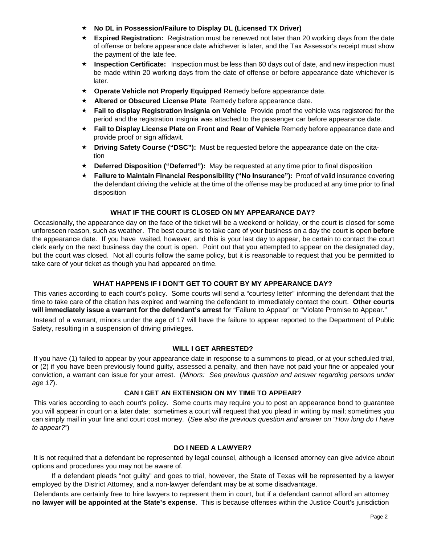- **No DL in Possession/Failure to Display DL (Licensed TX Driver)**
- **Expired Registration:** Registration must be renewed not later than 20 working days from the date of offense or before appearance date whichever is later, and the Tax Assessor's receipt must show the payment of the late fee.
- **Inspection Certificate:** Inspection must be less than 60 days out of date, and new inspection must be made within 20 working days from the date of offense or before appearance date whichever is later.
- **Operate Vehicle not Properly Equipped** Remedy before appearance date.
- **Altered or Obscured License Plate** Remedy before appearance date.
- **Fail to display Registration Insignia on Vehicle** Provide proof the vehicle was registered for the period and the registration insignia was attached to the passenger car before appearance date.
- **★ Fail to Display License Plate on Front and Rear of Vehicle Remedy before appearance date and** provide proof or sign affidavit.
- **Driving Safety Course ("DSC"):** Must be requested before the appearance date on the citation
- **Deferred Disposition ("Deferred"):** May be requested at any time prior to final disposition
- **Failure to Maintain Financial Responsibility ("No Insurance"):** Proof of valid insurance covering the defendant driving the vehicle at the time of the offense may be produced at any time prior to final disposition

#### **WHAT IF THE COURT IS CLOSED ON MY APPEARANCE DAY?**

Occasionally, the appearance day on the face of the ticket will be a weekend or holiday, or the court is closed for some unforeseen reason, such as weather. The best course is to take care of your business on a day the court is open **before** the appearance date. If you have waited, however, and this is your last day to appear, be certain to contact the court clerk early on the next business day the court is open. Point out that you attempted to appear on the designated day, but the court was closed. Not all courts follow the same policy, but it is reasonable to request that you be permitted to take care of your ticket as though you had appeared on time.

#### **WHAT HAPPENS IF I DON'T GET TO COURT BY MY APPEARANCE DAY?**

This varies according to each court's policy. Some courts will send a "courtesy letter" informing the defendant that the time to take care of the citation has expired and warning the defendant to immediately contact the court. **Other courts will immediately issue a warrant for the defendant's arrest** for "Failure to Appear" or "Violate Promise to Appear."

Instead of a warrant, minors under the age of 17 will have the failure to appear reported to the Department of Public Safety, resulting in a suspension of driving privileges.

#### **WILL I GET ARRESTED?**

If you have (1) failed to appear by your appearance date in response to a summons to plead, or at your scheduled trial, or (2) if you have been previously found guilty, assessed a penalty, and then have not paid your fine or appealed your conviction, a warrant can issue for your arrest. (*Minors: See previous question and answer regarding persons under age 17*).

#### **CAN I GET AN EXTENSION ON MY TIME TO APPEAR?**

This varies according to each court's policy. Some courts may require you to post an appearance bond to guarantee you will appear in court on a later date; sometimes a court will request that you plead in writing by mail; sometimes you can simply mail in your fine and court cost money. (*See also the previous question and answer on "How long do I have to appear?"*)

#### **DO I NEED A LAWYER?**

It is not required that a defendant be represented by legal counsel, although a licensed attorney can give advice about options and procedures you may not be aware of.

If a defendant pleads "not guilty" and goes to trial, however, the State of Texas will be represented by a lawyer employed by the District Attorney, and a non-lawyer defendant may be at some disadvantage.

Defendants are certainly free to hire lawyers to represent them in court, but if a defendant cannot afford an attorney **no lawyer will be appointed at the State's expense**. This is because offenses within the Justice Court's jurisdiction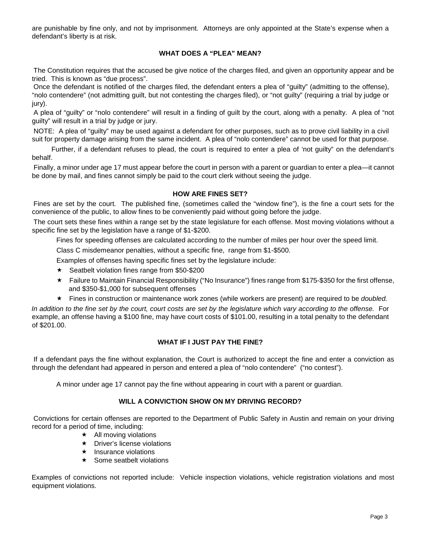are punishable by fine only, and not by imprisonment. Attorneys are only appointed at the State's expense when a defendant's liberty is at risk.

#### **WHAT DOES A "PLEA" MEAN?**

The Constitution requires that the accused be give notice of the charges filed, and given an opportunity appear and be tried. This is known as "due process".

Once the defendant is notified of the charges filed, the defendant enters a plea of "guilty" (admitting to the offense), "nolo contendere" (not admitting guilt, but not contesting the charges filed), or "not guilty" (requiring a trial by judge or iury).

A plea of "guilty" or "nolo contendere" will result in a finding of guilt by the court, along with a penalty. A plea of "not guilty" will result in a trial by judge or jury.

NOTE: A plea of "guilty" may be used against a defendant for other purposes, such as to prove civil liability in a civil suit for property damage arising from the same incident. A plea of "nolo contendere" cannot be used for that purpose.

Further, if a defendant refuses to plead, the court is required to enter a plea of 'not guilty" on the defendant's behalf.

Finally, a minor under age 17 must appear before the court in person with a parent or guardian to enter a plea—it cannot be done by mail, and fines cannot simply be paid to the court clerk without seeing the judge.

#### **HOW ARE FINES SET?**

Fines are set by the court. The published fine, (sometimes called the "window fine"), is the fine a court sets for the convenience of the public, to allow fines to be conveniently paid without going before the judge.

The court sets these fines within a range set by the state legislature for each offense. Most moving violations without a specific fine set by the legislation have a range of \$1-\$200.

Fines for speeding offenses are calculated according to the number of miles per hour over the speed limit.

Class C misdemeanor penalties, without a specific fine, range from \$1-\$500.

Examples of offenses having specific fines set by the legislature include:

- $\star$  Seatbelt violation fines range from \$50-\$200
- Failure to Maintain Financial Responsibility ("No Insurance") fines range from \$175-\$350 for the first offense, and \$350-\$1,000 for subsequent offenses
- Fines in construction or maintenance work zones (while workers are present) are required to be *doubled.*

*In addition to the fine set by the court, court costs are set by the legislature which vary according to the offense.* For example, an offense having a \$100 fine, may have court costs of \$101.00, resulting in a total penalty to the defendant of \$201.00.

#### **WHAT IF I JUST PAY THE FINE?**

If a defendant pays the fine without explanation, the Court is authorized to accept the fine and enter a conviction as through the defendant had appeared in person and entered a plea of "nolo contendere" ("no contest").

A minor under age 17 cannot pay the fine without appearing in court with a parent or guardian.

#### **WILL A CONVICTION SHOW ON MY DRIVING RECORD?**

Convictions for certain offenses are reported to the Department of Public Safety in Austin and remain on your driving record for a period of time, including:

- $\star$  All moving violations
- $\star$  Driver's license violations
- $\star$  Insurance violations
- $\star$  Some seatbelt violations

Examples of convictions not reported include: Vehicle inspection violations, vehicle registration violations and most equipment violations.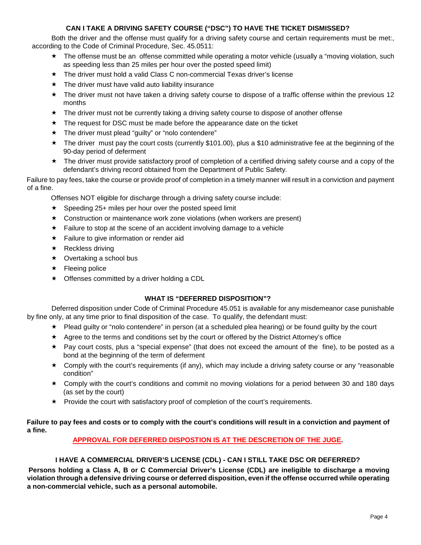#### **CAN I TAKE A DRIVING SAFETY COURSE ("DSC") TO HAVE THE TICKET DISMISSED?**

Both the driver and the offense must qualify for a driving safety course and certain requirements must be met:, according to the Code of Criminal Procedure, Sec. 45.0511:

- \* The offense must be an offense committed while operating a motor vehicle (usually a "moving violation, such as speeding less than 25 miles per hour over the posted speed limit)
- $\star$  The driver must hold a valid Class C non-commercial Texas driver's license
- $\star$  The driver must have valid auto liability insurance
- The driver must not have taken a driving safety course to dispose of a traffic offense within the previous 12 months
- The driver must not be currently taking a driving safety course to dispose of another offense
- $\star$  The request for DSC must be made before the appearance date on the ticket
- \* The driver must plead "guilty" or "nolo contendere"
- $\star$  The driver must pay the court costs (currently \$101.00), plus a \$10 administrative fee at the beginning of the 90-day period of deferment
- $\star$  The driver must provide satisfactory proof of completion of a certified driving safety course and a copy of the defendant's driving record obtained from the Department of Public Safety.

Failure to pay fees, take the course or provide proof of completion in a timely manner will result in a conviction and payment of a fine.

Offenses NOT eligible for discharge through a driving safety course include:

- $\star$  Speeding 25+ miles per hour over the posted speed limit
- $\star$  Construction or maintenance work zone violations (when workers are present)
- $\star$  Failure to stop at the scene of an accident involving damage to a vehicle
- $\star$  Failure to give information or render aid
- $\star$  Reckless driving
- $\star$  Overtaking a school bus
- $\star$  Fleeing police
- $\star$  Offenses committed by a driver holding a CDL

#### **WHAT IS "DEFERRED DISPOSITION"?**

Deferred disposition under Code of Criminal Procedure 45.051 is available for any misdemeanor case punishable by fine only, at any time prior to final disposition of the case. To qualify, the defendant must:

- $\star$  Plead guilty or "nolo contendere" in person (at a scheduled plea hearing) or be found guilty by the court
- $\star$  Agree to the terms and conditions set by the court or offered by the District Attorney's office
- $\star$  Pay court costs, plus a "special expense" (that does not exceed the amount of the fine), to be posted as a bond at the beginning of the term of deferment
- $\star$  Comply with the court's requirements (if any), which may include a driving safety course or any "reasonable" condition"
- Comply with the court's conditions and commit no moving violations for a period between 30 and 180 days (as set by the court)
- $\star$  Provide the court with satisfactory proof of completion of the court's requirements.

#### **Failure to pay fees and costs or to comply with the court's conditions will result in a conviction and payment of a fine.**

#### **APPROVAL FOR DEFERRED DISPOSTION IS AT THE DESCRETION OF THE JUGE.**

#### **I HAVE A COMMERCIAL DRIVER'S LICENSE (CDL) - CAN I STILL TAKE DSC OR DEFERRED?**

**Persons holding a Class A, B or C Commercial Driver's License (CDL) are ineligible to discharge a moving violation through a defensive driving course or deferred disposition, even if the offense occurred while operating a non-commercial vehicle, such as a personal automobile.**